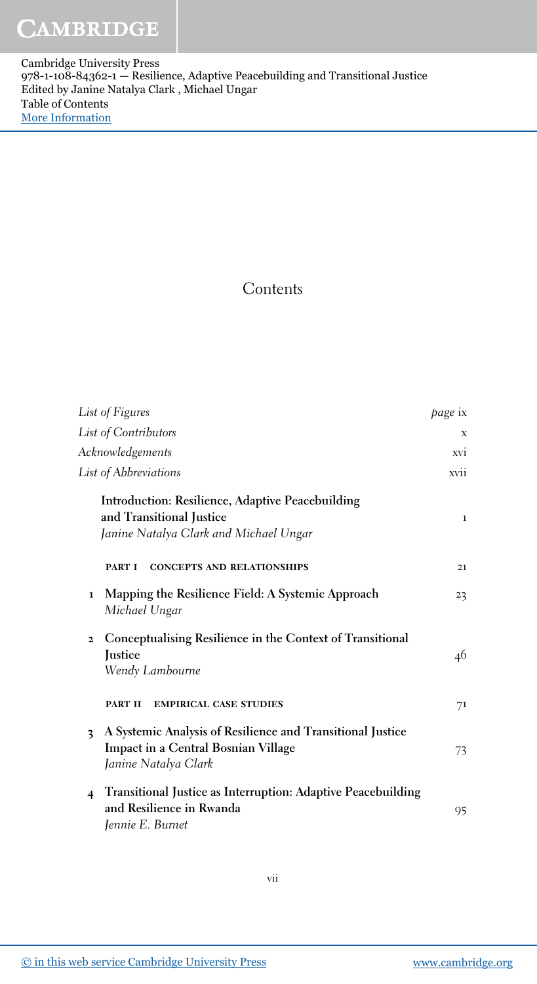Cambridge University Press 978-1-108-84362-1 — Resilience, Adaptive Peacebuilding and Transitional Justice Edited by Janine Natalya Clark , Michael Ungar Table of Contents [More Information](www.cambridge.org/9781108843621)

## **Contents**

| List of Figures                                                                                                                | <i>page</i> ix  |
|--------------------------------------------------------------------------------------------------------------------------------|-----------------|
| List of Contributors                                                                                                           | X               |
| Acknowledgements                                                                                                               | XVI <sup></sup> |
| List of Abbreviations                                                                                                          | xvii            |
| Introduction: Resilience, Adaptive Peacebuilding<br>and Transitional Justice<br>Janine Natalya Clark and Michael Ungar         | $\mathbf{1}$    |
| <b>CONCEPTS AND RELATIONSHIPS</b><br><b>PART I</b>                                                                             | 21              |
| Mapping the Resilience Field: A Systemic Approach<br>$\mathbf{1}$<br>Michael Ungar                                             | 23              |
| Conceptualising Resilience in the Context of Transitional<br>$\overline{2}$<br>Justice<br>Wendy Lambourne                      | 46              |
| <b>PART II</b><br><b>EMPIRICAL CASE STUDIES</b>                                                                                | 71              |
| A Systemic Analysis of Resilience and Transitional Justice<br>3<br>Impact in a Central Bosnian Village<br>Janine Natalya Clark | 73              |
| Transitional Justice as Interruption: Adaptive Peacebuilding<br>$\overline{4}$<br>and Resilience in Rwanda<br>Jennie E. Burnet | 95              |